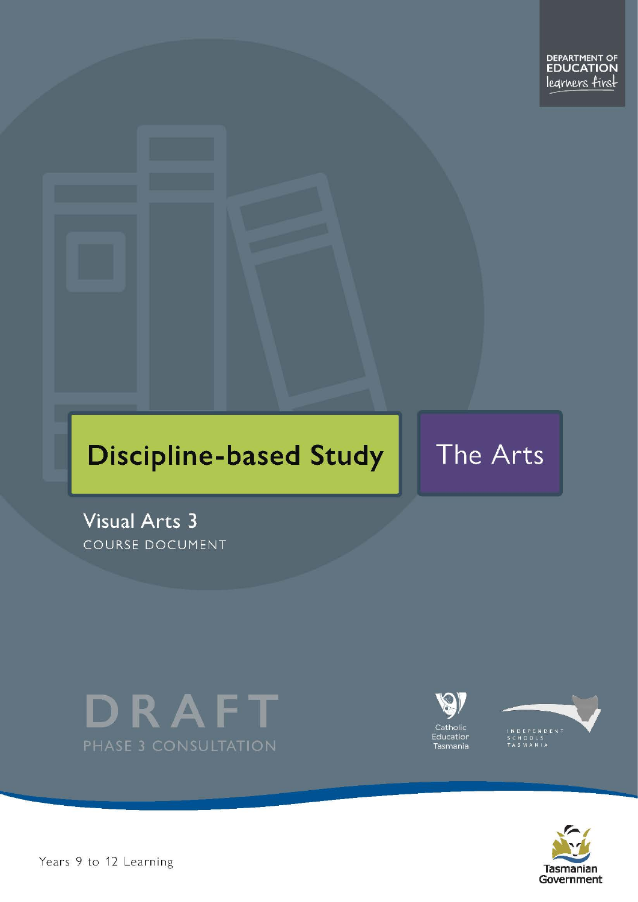# **Discipline-based Study**

The Arts

**Visual Arts 3** COURSE DOCUMENT







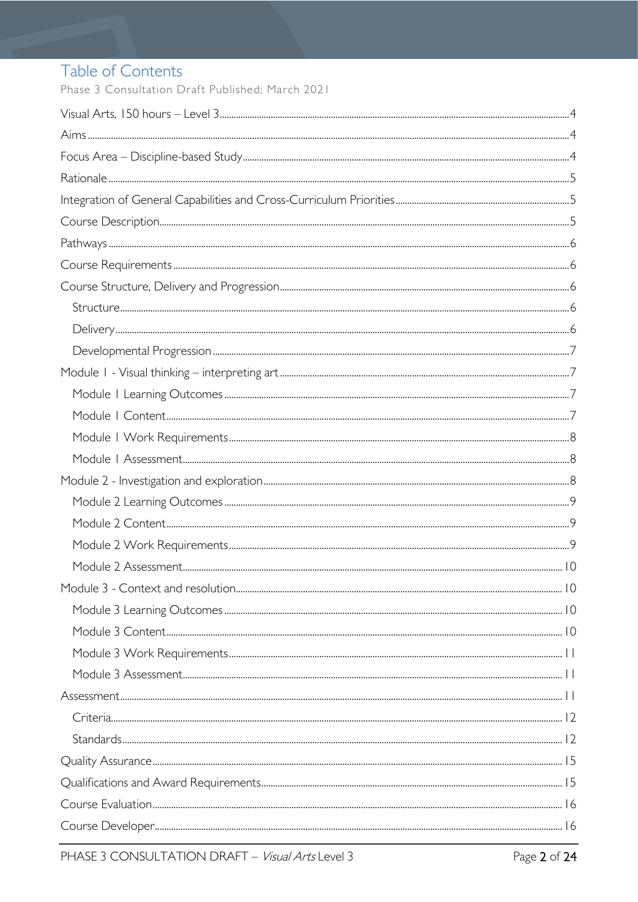# Table of Contents

Phase 3 Consultation Draft Published: March 2021

| Module 3 - Context and resolution | 10 |
|-----------------------------------|----|
|                                   |    |
|                                   |    |
|                                   |    |
|                                   |    |
|                                   |    |
|                                   |    |
|                                   |    |
|                                   |    |
|                                   |    |
|                                   |    |
|                                   |    |
|                                   |    |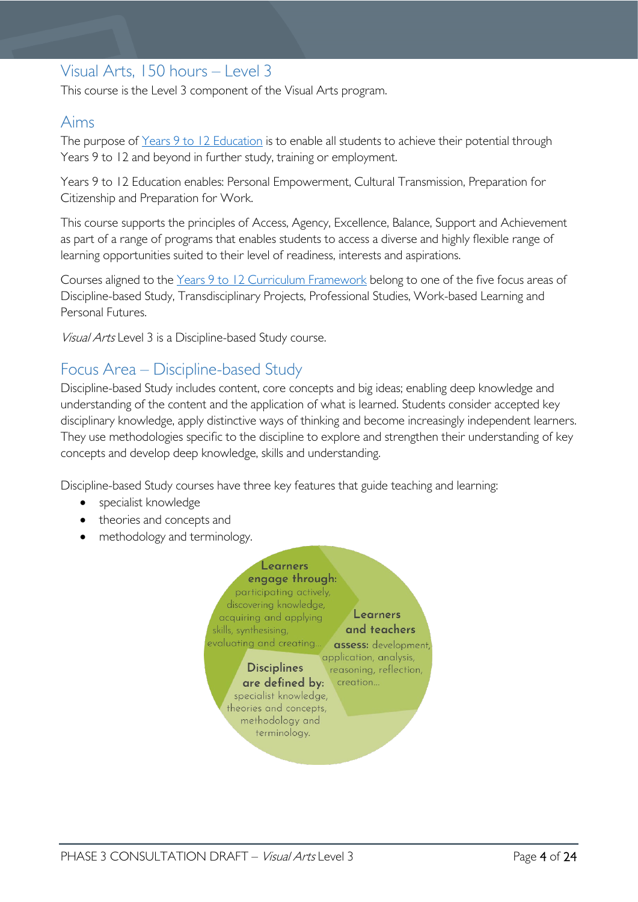# <span id="page-3-0"></span>Visual Arts, 150 hours – Level 3

This course is the Level 3 component of the Visual Arts program.

# <span id="page-3-1"></span>Aims

The purpose of Years 9 to 12 [Education](https://publicdocumentcentre.education.tas.gov.au/library/Shared%20Documents/Years-9-to-12-Education-Framework.pdf) is to enable all students to achieve their potential through Years 9 to 12 and beyond in further study, training or employment.

Years 9 to 12 Education enables: Personal Empowerment, Cultural Transmission, Preparation for Citizenship and Preparation for Work.

This course supports the principles of Access, Agency, Excellence, Balance, Support and Achievement as part of a range of programs that enables students to access a diverse and highly flexible range of learning opportunities suited to their level of readiness, interests and aspirations.

Courses aligned to the Years 9 to 12 Curriculum [Framework](https://publicdocumentcentre.education.tas.gov.au/library/Shared%20Documents/Education%209-12%20Frameworks%20A3%20WEB%20POSTER.pdf) belong to one of the five focus areas of Discipline-based Study, Transdisciplinary Projects, Professional Studies, Work-based Learning and Personal Futures.

Visual Arts Level 3 is a Discipline-based Study course.

# <span id="page-3-2"></span>Focus Area – Discipline-based Study

Discipline-based Study includes content, core concepts and big ideas; enabling deep knowledge and understanding of the content and the application of what is learned. Students consider accepted key disciplinary knowledge, apply distinctive ways of thinking and become increasingly independent learners. They use methodologies specific to the discipline to explore and strengthen their understanding of key concepts and develop deep knowledge, skills and understanding.

Discipline-based Study courses have three key features that guide teaching and learning:

- specialist knowledge
- theories and concepts and
- methodology and terminology.

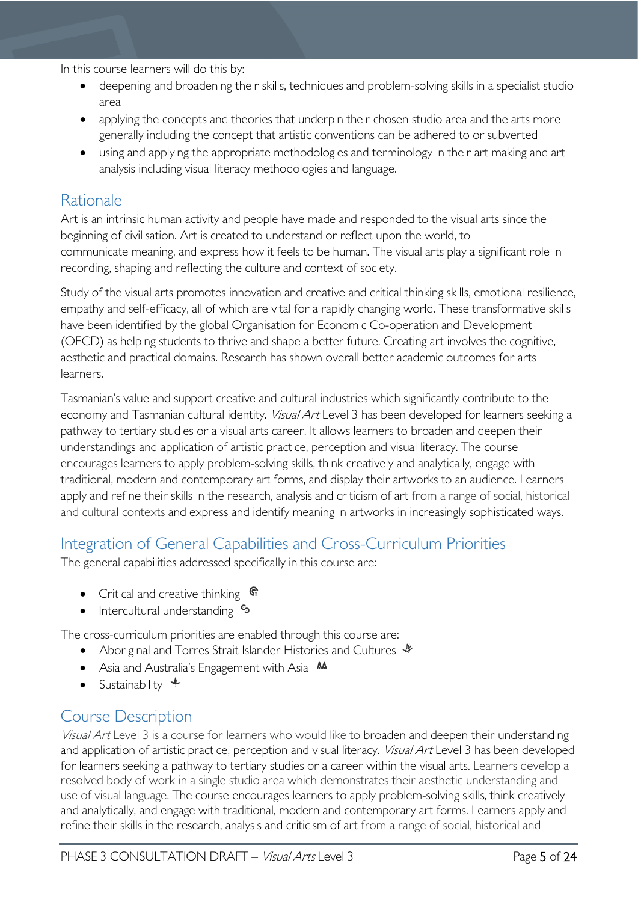In this course learners will do this by:

- deepening and broadening their skills, techniques and problem-solving skills in a specialist studio area
- applying the concepts and theories that underpin their chosen studio area and the arts more generally including the concept that artistic conventions can be adhered to or subverted
- using and applying the appropriate methodologies and terminology in their art making and art analysis including visual literacy methodologies and language.

# <span id="page-4-0"></span>Rationale

Art is an intrinsic human activity and people have made and responded to the visual arts since the beginning of civilisation. Art is created to understand or reflect upon the world, to communicate meaning, and express how it feels to be human. The visual arts play a significant role in recording, shaping and reflecting the culture and context of society.

Study of the visual arts promotes innovation and creative and critical thinking skills, emotional resilience, empathy and self-efficacy, all of which are vital for a rapidly changing world. These transformative skills have been identified by the global Organisation for Economic Co-operation and Development (OECD) as helping students to thrive and shape a better future. Creating art involves the cognitive, aesthetic and practical domains. Research has shown overall better academic outcomes for arts learners.

Tasmanian's value and support creative and cultural industries which significantly contribute to the economy and Tasmanian cultural identity. Visual Art Level 3 has been developed for learners seeking a pathway to tertiary studies or a visual arts career. It allows learners to broaden and deepen their understandings and application of artistic practice, perception and visual literacy. The course encourages learners to apply problem-solving skills, think creatively and analytically, engage with traditional, modern and contemporary art forms, and display their artworks to an audience. Learners apply and refine their skills in the research, analysis and criticism of art from a range of social, historical and cultural contexts and express and identify meaning in artworks in increasingly sophisticated ways.

# <span id="page-4-1"></span>Integration of General Capabilities and Cross-Curriculum Priorities

The general capabilities addressed specifically in this course are:

- Critical and creative thinking  $\epsilon$
- Intercultural understanding  $\frac{e_3}{e_3}$

The cross-curriculum priorities are enabled through this course are:

- Aboriginal and Torres Strait Islander Histories and Cultures  $\mathcal$
- Asia and Australia's Engagement with Asia **AA**
- Sustainability  $\triangleleft$

# <span id="page-4-2"></span>Course Description

Visual Art Level 3 is a course for learners who would like to broaden and deepen their understanding and application of artistic practice, perception and visual literacy. Visual Art Level 3 has been developed for learners seeking a pathway to tertiary studies or a career within the visual arts. Learners develop a resolved body of work in a single studio area which demonstrates their aesthetic understanding and use of visual language. The course encourages learners to apply problem-solving skills, think creatively and analytically, and engage with traditional, modern and contemporary art forms. Learners apply and refine their skills in the research, analysis and criticism of art from a range of social, historical and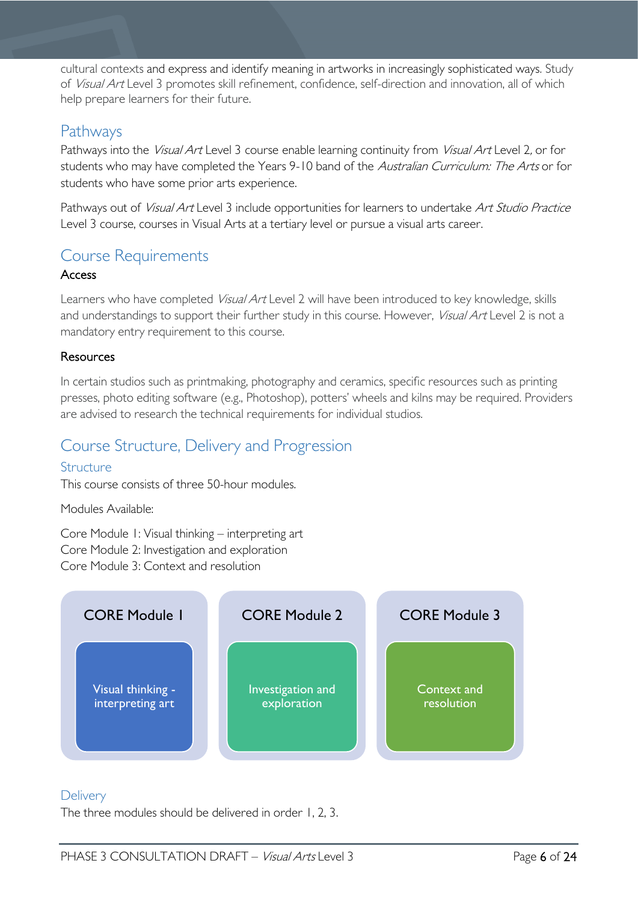cultural contexts and express and identify meaning in artworks in increasingly sophisticated ways. Study of Visual Art Level 3 promotes skill refinement, confidence, self-direction and innovation, all of which help prepare learners for their future.

# <span id="page-5-0"></span>Pathways

Pathways into the *Visual Art* Level 3 course enable learning continuity from *Visual Art* Level 2, or for students who may have completed the Years 9-10 band of the Australian Curriculum: The Arts or for students who have some prior arts experience.

Pathways out of Visual Art Level 3 include opportunities for learners to undertake Art Studio Practice Level 3 course, courses in Visual Arts at a tertiary level or pursue a visual arts career.

# <span id="page-5-1"></span>Course Requirements

### Access

Learners who have completed *Visual Art* Level 2 will have been introduced to key knowledge, skills and understandings to support their further study in this course. However, Visual Art Level 2 is not a mandatory entry requirement to this course.

### **Resources**

In certain studios such as printmaking, photography and ceramics, specific resources such as printing presses, photo editing software (e.g., Photoshop), potters' wheels and kilns may be required. Providers are advised to research the technical requirements for individual studios.

# <span id="page-5-2"></span>Course Structure, Delivery and Progression

### <span id="page-5-3"></span>Structure

This course consists of three 50-hour modules.

Modules Available:

Core Module 1: Visual thinking – interpreting art Core Module 2: Investigation and exploration Core Module 3: Context and resolution



### <span id="page-5-4"></span>**Delivery**

The three modules should be delivered in order 1, 2, 3.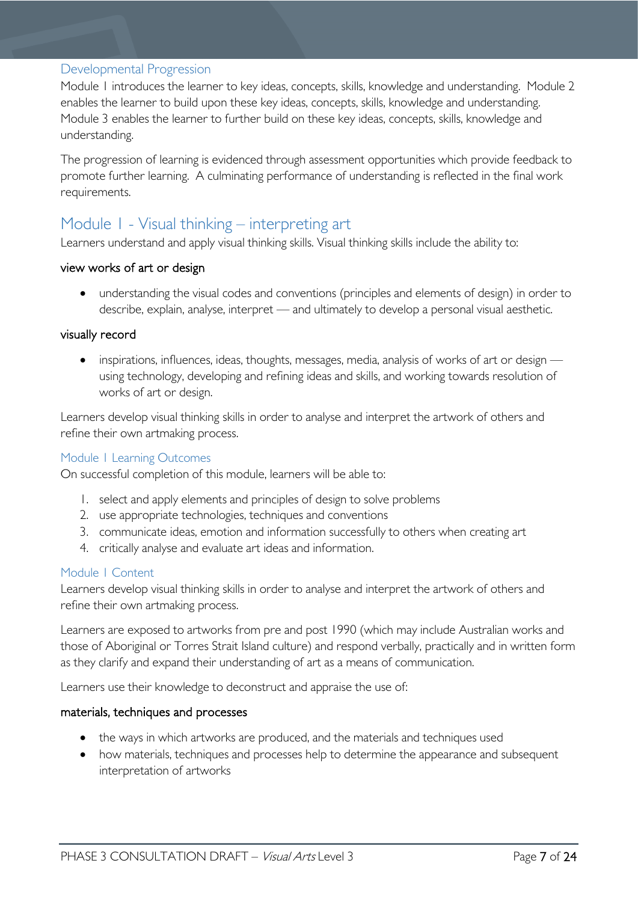#### <span id="page-6-0"></span>Developmental Progression

Module 1 introduces the learner to key ideas, concepts, skills, knowledge and understanding. Module 2 enables the learner to build upon these key ideas, concepts, skills, knowledge and understanding. Module 3 enables the learner to further build on these key ideas, concepts, skills, knowledge and understanding.

The progression of learning is evidenced through assessment opportunities which provide feedback to promote further learning. A culminating performance of understanding is reflected in the final work requirements.

# <span id="page-6-1"></span>Module 1 - Visual thinking – interpreting art

Learners understand and apply visual thinking skills. Visual thinking skills include the ability to:

#### view works of art or design

• understanding the visual codes and conventions (principles and elements of design) in order to describe, explain, analyse, interpret — and ultimately to develop a personal visual aesthetic.

#### visually record

• inspirations, influences, ideas, thoughts, messages, media, analysis of works of art or design using technology, developing and refining ideas and skills, and working towards resolution of works of art or design.

Learners develop visual thinking skills in order to analyse and interpret the artwork of others and refine their own artmaking process.

#### <span id="page-6-2"></span>Module 1 Learning Outcomes

On successful completion of this module, learners will be able to:

- 1. select and apply elements and principles of design to solve problems
- 2. use appropriate technologies, techniques and conventions
- 3. communicate ideas, emotion and information successfully to others when creating art
- 4. critically analyse and evaluate art ideas and information.

#### <span id="page-6-3"></span>Module 1 Content

Learners develop visual thinking skills in order to analyse and interpret the artwork of others and refine their own artmaking process.

Learners are exposed to artworks from pre and post 1990 (which may include Australian works and those of Aboriginal or Torres Strait Island culture) and respond verbally, practically and in written form as they clarify and expand their understanding of art as a means of communication.

Learners use their knowledge to deconstruct and appraise the use of:

#### materials, techniques and processes

- the ways in which artworks are produced, and the materials and techniques used
- how materials, techniques and processes help to determine the appearance and subsequent interpretation of artworks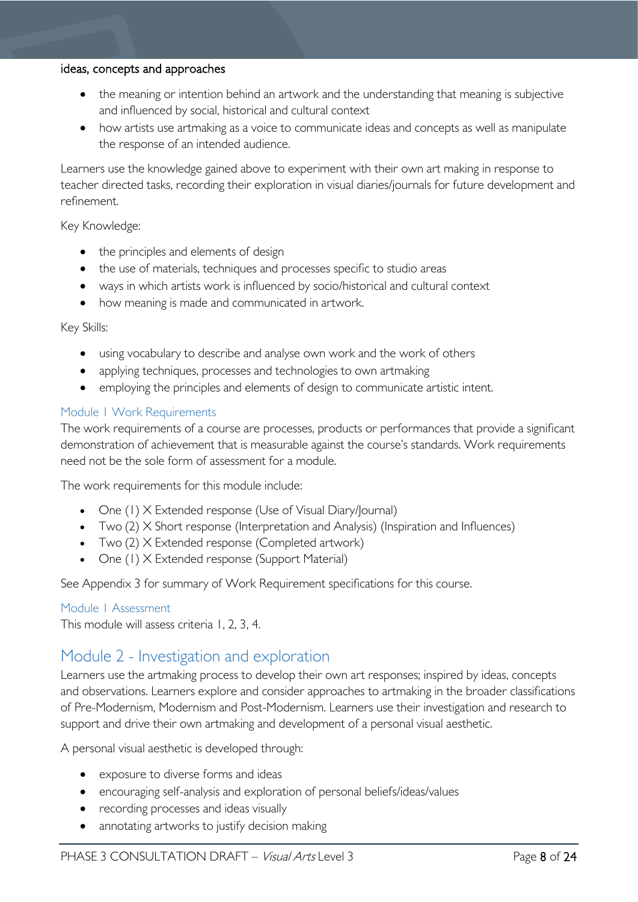#### ideas, concepts and approaches

- the meaning or intention behind an artwork and the understanding that meaning is subjective and influenced by social, historical and cultural context
- how artists use artmaking as a voice to communicate ideas and concepts as well as manipulate the response of an intended audience.

Learners use the knowledge gained above to experiment with their own art making in response to teacher directed tasks, recording their exploration in visual diaries/journals for future development and refinement.

#### Key Knowledge:

- the principles and elements of design
- the use of materials, techniques and processes specific to studio areas
- ways in which artists work is influenced by socio/historical and cultural context
- how meaning is made and communicated in artwork.

#### Key Skills:

- using vocabulary to describe and analyse own work and the work of others
- applying techniques, processes and technologies to own artmaking
- employing the principles and elements of design to communicate artistic intent.

#### <span id="page-7-0"></span>Module 1 Work Requirements

The work requirements of a course are processes, products or performances that provide a significant demonstration of achievement that is measurable against the course's standards. Work requirements need not be the sole form of assessment for a module.

The work requirements for this module include:

- One (1) X Extended response (Use of Visual Diary/Journal)
- Two (2) X Short response (Interpretation and Analysis) (Inspiration and Influences)
- Two (2) X Extended response (Completed artwork)
- One (1) X Extended response (Support Material)

See Appendix 3 for summary of Work Requirement specifications for this course.

#### <span id="page-7-1"></span>Module 1 Assessment

This module will assess criteria 1, 2, 3, 4.

# <span id="page-7-2"></span>Module 2 - Investigation and exploration

Learners use the artmaking process to develop their own art responses; inspired by ideas, concepts and observations. Learners explore and consider approaches to artmaking in the broader classifications of Pre-Modernism, Modernism and Post-Modernism. Learners use their investigation and research to support and drive their own artmaking and development of a personal visual aesthetic.

A personal visual aesthetic is developed through:

- exposure to diverse forms and ideas
- encouraging self-analysis and exploration of personal beliefs/ideas/values
- recording processes and ideas visually
- annotating artworks to justify decision making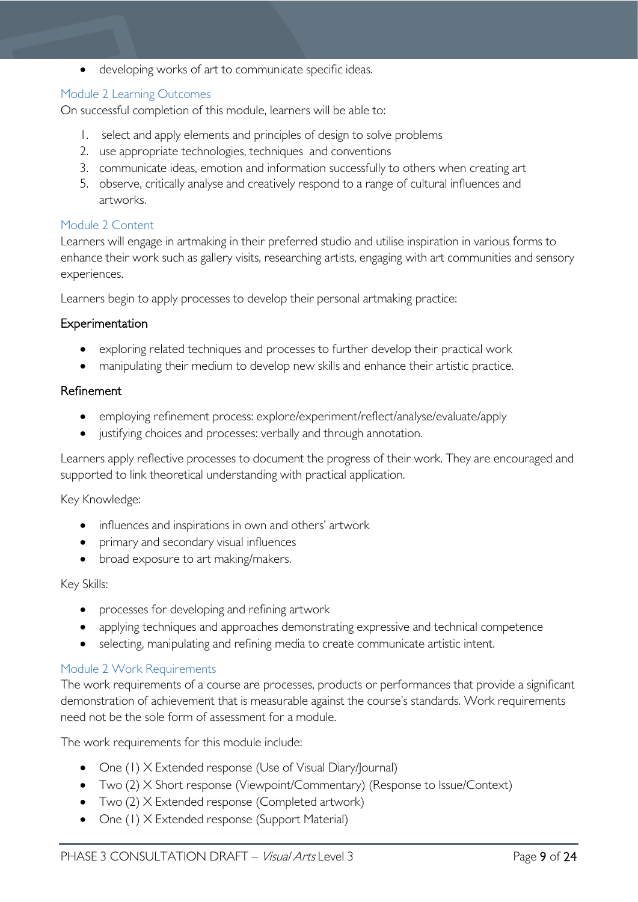• developing works of art to communicate specific ideas.

#### <span id="page-8-0"></span>Module 2 Learning Outcomes

On successful completion of this module, learners will be able to:

- 1. select and apply elements and principles of design to solve problems
- 2. use appropriate technologies, techniques and conventions
- 3. communicate ideas, emotion and information successfully to others when creating art
- 5. observe, critically analyse and creatively respond to a range of cultural influences and artworks.

#### <span id="page-8-1"></span>Module 2 Content

Learners will engage in artmaking in their preferred studio and utilise inspiration in various forms to enhance their work such as gallery visits, researching artists, engaging with art communities and sensory experiences.

Learners begin to apply processes to develop their personal artmaking practice:

#### Experimentation

- exploring related techniques and processes to further develop their practical work
- manipulating their medium to develop new skills and enhance their artistic practice.

#### Refinement

- employing refinement process: explore/experiment/reflect/analyse/evaluate/apply
- justifying choices and processes: verbally and through annotation.

Learners apply reflective processes to document the progress of their work. They are encouraged and supported to link theoretical understanding with practical application.

#### Key Knowledge:

- influences and inspirations in own and others' artwork
- primary and secondary visual influences
- broad exposure to art making/makers.

#### Key Skills:

- processes for developing and refining artwork
- applying techniques and approaches demonstrating expressive and technical competence
- selecting, manipulating and refining media to create communicate artistic intent.

#### <span id="page-8-2"></span>Module 2 Work Requirements

The work requirements of a course are processes, products or performances that provide a significant demonstration of achievement that is measurable against the course's standards. Work requirements need not be the sole form of assessment for a module.

The work requirements for this module include:

- One (1) X Extended response (Use of Visual Diary/Journal)
- Two (2) X Short response (Viewpoint/Commentary) (Response to Issue/Context)
- Two (2) X Extended response (Completed artwork)
- One (1) X Extended response (Support Material)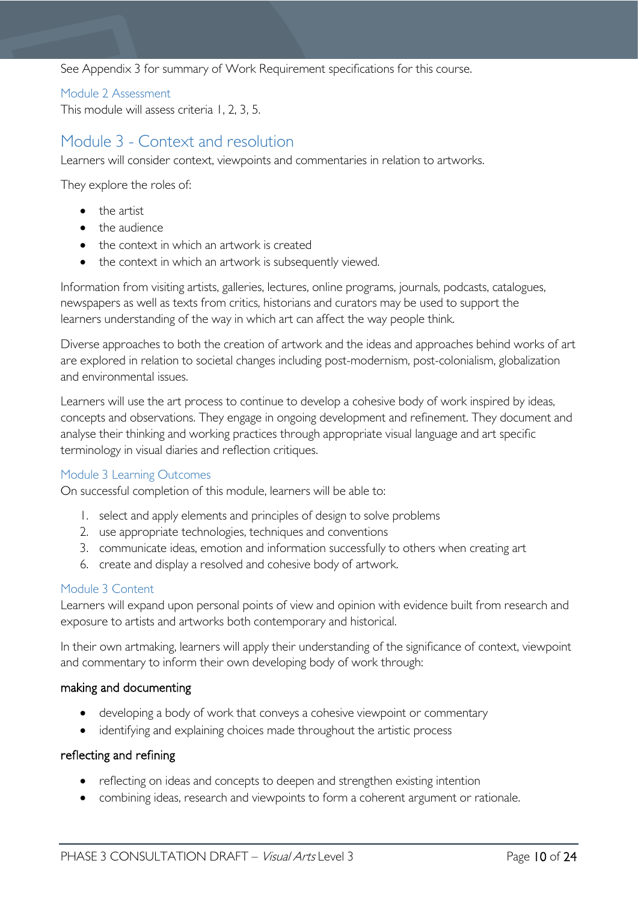See Appendix 3 for summary of Work Requirement specifications for this course.

#### <span id="page-9-0"></span>Module 2 Assessment

This module will assess criteria 1, 2, 3, 5.

# <span id="page-9-1"></span>Module 3 - Context and resolution

Learners will consider context, viewpoints and commentaries in relation to artworks.

They explore the roles of:

- the artist
- the audience
- the context in which an artwork is created
- the context in which an artwork is subsequently viewed.

Information from visiting artists, galleries, lectures, online programs, journals, podcasts, catalogues, newspapers as well as texts from critics, historians and curators may be used to support the learners understanding of the way in which art can affect the way people think.

Diverse approaches to both the creation of artwork and the ideas and approaches behind works of art are explored in relation to societal changes including post-modernism, post-colonialism, globalization and environmental issues.

Learners will use the art process to continue to develop a cohesive body of work inspired by ideas, concepts and observations. They engage in ongoing development and refinement. They document and analyse their thinking and working practices through appropriate visual language and art specific terminology in visual diaries and reflection critiques.

#### <span id="page-9-2"></span>Module 3 Learning Outcomes

On successful completion of this module, learners will be able to:

- 1. select and apply elements and principles of design to solve problems
- 2. use appropriate technologies, techniques and conventions
- 3. communicate ideas, emotion and information successfully to others when creating art
- 6. create and display a resolved and cohesive body of artwork.

#### <span id="page-9-3"></span>Module 3 Content

Learners will expand upon personal points of view and opinion with evidence built from research and exposure to artists and artworks both contemporary and historical.

In their own artmaking, learners will apply their understanding of the significance of context, viewpoint and commentary to inform their own developing body of work through:

#### making and documenting

- developing a body of work that conveys a cohesive viewpoint or commentary
- identifying and explaining choices made throughout the artistic process

#### reflecting and refining

- reflecting on ideas and concepts to deepen and strengthen existing intention
- combining ideas, research and viewpoints to form a coherent argument or rationale.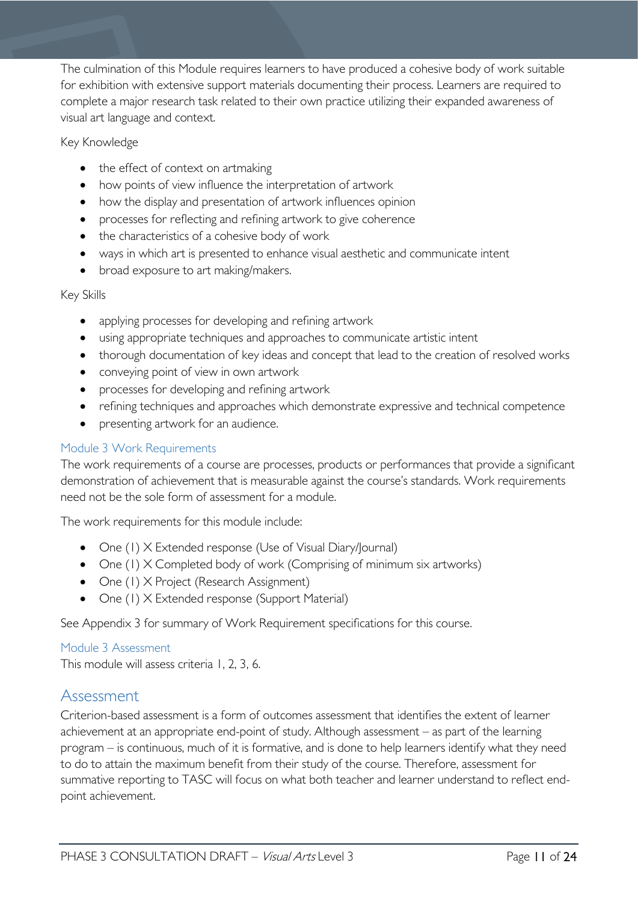The culmination of this Module requires learners to have produced a cohesive body of work suitable for exhibition with extensive support materials documenting their process. Learners are required to complete a major research task related to their own practice utilizing their expanded awareness of visual art language and context.

#### Key Knowledge

- the effect of context on artmaking
- how points of view influence the interpretation of artwork
- how the display and presentation of artwork influences opinion
- processes for reflecting and refining artwork to give coherence
- the characteristics of a cohesive body of work
- ways in which art is presented to enhance visual aesthetic and communicate intent
- broad exposure to art making/makers.

### Key Skills

- applying processes for developing and refining artwork
- using appropriate techniques and approaches to communicate artistic intent
- thorough documentation of key ideas and concept that lead to the creation of resolved works
- conveying point of view in own artwork
- processes for developing and refining artwork
- refining techniques and approaches which demonstrate expressive and technical competence
- presenting artwork for an audience.

### <span id="page-10-0"></span>Module 3 Work Requirements

The work requirements of a course are processes, products or performances that provide a significant demonstration of achievement that is measurable against the course's standards. Work requirements need not be the sole form of assessment for a module.

The work requirements for this module include:

- One (1) X Extended response (Use of Visual Diary/Journal)
- One (1) X Completed body of work (Comprising of minimum six artworks)
- One (1) X Project (Research Assignment)
- One (1) X Extended response (Support Material)

See Appendix 3 for summary of Work Requirement specifications for this course.

#### <span id="page-10-1"></span>Module 3 Assessment

This module will assess criteria 1, 2, 3, 6.

# <span id="page-10-2"></span>Assessment

Criterion-based assessment is a form of outcomes assessment that identifies the extent of learner achievement at an appropriate end-point of study. Although assessment – as part of the learning program – is continuous, much of it is formative, and is done to help learners identify what they need to do to attain the maximum benefit from their study of the course. Therefore, assessment for summative reporting to TASC will focus on what both teacher and learner understand to reflect endpoint achievement.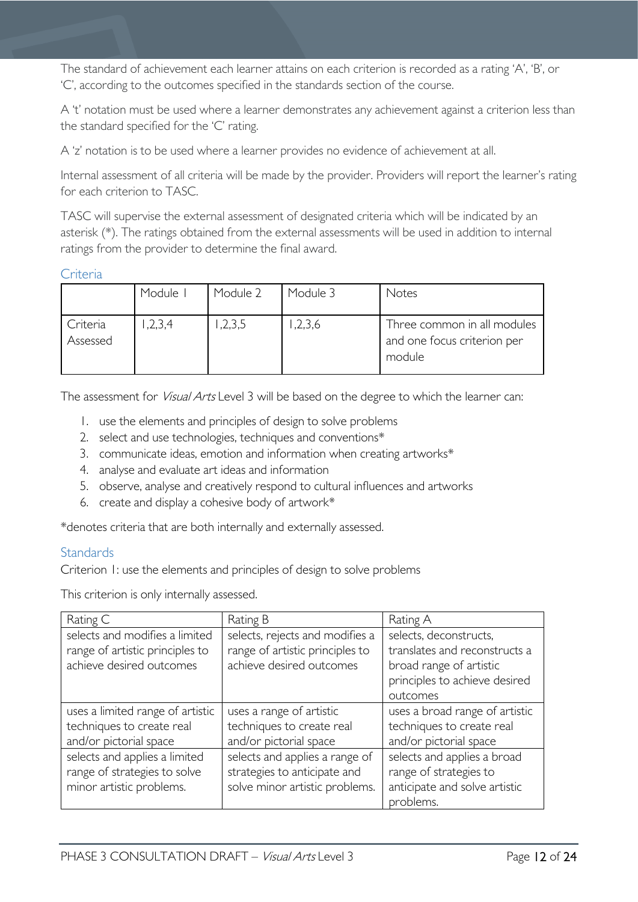The standard of achievement each learner attains on each criterion is recorded as a rating 'A', 'B', or 'C', according to the outcomes specified in the standards section of the course.

A 't' notation must be used where a learner demonstrates any achievement against a criterion less than the standard specified for the 'C' rating.

A 'z' notation is to be used where a learner provides no evidence of achievement at all.

Internal assessment of all criteria will be made by the provider. Providers will report the learner's rating for each criterion to TASC.

TASC will supervise the external assessment of designated criteria which will be indicated by an asterisk (\*). The ratings obtained from the external assessments will be used in addition to internal ratings from the provider to determine the final award.

#### <span id="page-11-0"></span>**Criteria**

|                      | Module I | Module 2 | Module 3 | Notes                                                                |
|----------------------|----------|----------|----------|----------------------------------------------------------------------|
| Criteria<br>Assessed | 1,2,3,4  | ,2,3,5   | ,2,3,6   | Three common in all modules<br>and one focus criterion per<br>module |

The assessment for *Visual Arts* Level 3 will be based on the degree to which the learner can:

- 1. use the elements and principles of design to solve problems
- 2. select and use technologies, techniques and conventions\*
- 3. communicate ideas, emotion and information when creating artworks\*
- 4. analyse and evaluate art ideas and information
- 5. observe, analyse and creatively respond to cultural influences and artworks
- 6. create and display a cohesive body of artwork\*

\*denotes criteria that are both internally and externally assessed.

#### <span id="page-11-1"></span>**Standards**

Criterion 1: use the elements and principles of design to solve problems

This criterion is only internally assessed.

| Rating C                                                                                      | Rating B                                                                                         | Rating A                                                                                                                        |
|-----------------------------------------------------------------------------------------------|--------------------------------------------------------------------------------------------------|---------------------------------------------------------------------------------------------------------------------------------|
| selects and modifies a limited<br>range of artistic principles to<br>achieve desired outcomes | selects, rejects and modifies a<br>range of artistic principles to<br>achieve desired outcomes   | selects, deconstructs,<br>translates and reconstructs a<br>broad range of artistic<br>principles to achieve desired<br>outcomes |
| uses a limited range of artistic<br>techniques to create real<br>and/or pictorial space       | uses a range of artistic<br>techniques to create real<br>and/or pictorial space                  | uses a broad range of artistic<br>techniques to create real<br>and/or pictorial space                                           |
| selects and applies a limited<br>range of strategies to solve<br>minor artistic problems.     | selects and applies a range of<br>strategies to anticipate and<br>solve minor artistic problems. | selects and applies a broad<br>range of strategies to<br>anticipate and solve artistic<br>problems.                             |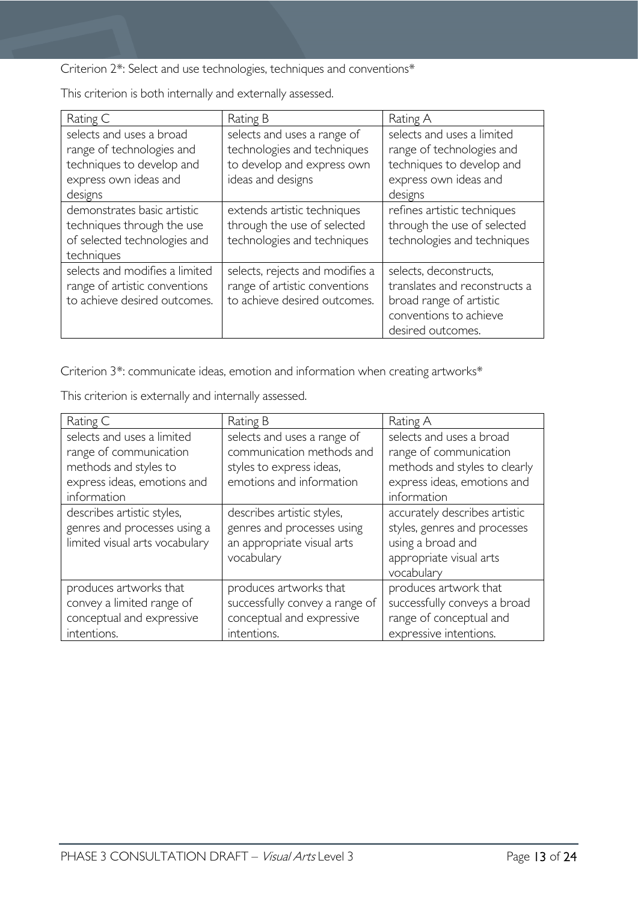Criterion 2\*: Select and use technologies, techniques and conventions\*

Rating C Rating B Rating A selects and uses a broad range of technologies and techniques to develop and express own ideas and designs selects and uses a range of technologies and techniques to develop and express own ideas and designs selects and uses a limited range of technologies and techniques to develop and express own ideas and designs demonstrates basic artistic techniques through the use of selected technologies and techniques extends artistic techniques through the use of selected technologies and techniques refines artistic techniques through the use of selected technologies and techniques selects and modifies a limited range of artistic conventions to achieve desired outcomes. selects, rejects and modifies a range of artistic conventions to achieve desired outcomes. selects, deconstructs, translates and reconstructs a broad range of artistic conventions to achieve desired outcomes.

This criterion is both internally and externally assessed.

Criterion 3\*: communicate ideas, emotion and information when creating artworks\*

This criterion is externally and internally assessed.

| Rating C                                                                                                                    | Rating B                                                                                                         | Rating A                                                                                                                          |
|-----------------------------------------------------------------------------------------------------------------------------|------------------------------------------------------------------------------------------------------------------|-----------------------------------------------------------------------------------------------------------------------------------|
| selects and uses a limited<br>range of communication<br>methods and styles to<br>express ideas, emotions and<br>information | selects and uses a range of<br>communication methods and<br>styles to express ideas,<br>emotions and information | selects and uses a broad<br>range of communication<br>methods and styles to clearly<br>express ideas, emotions and<br>information |
| describes artistic styles,<br>genres and processes using a<br>limited visual arts vocabulary                                | describes artistic styles,<br>genres and processes using<br>an appropriate visual arts<br>vocabulary             | accurately describes artistic<br>styles, genres and processes<br>using a broad and<br>appropriate visual arts<br>vocabulary       |
| produces artworks that<br>convey a limited range of<br>conceptual and expressive<br>intentions.                             | produces artworks that<br>successfully convey a range of<br>conceptual and expressive<br>intentions.             | produces artwork that<br>successfully conveys a broad<br>range of conceptual and<br>expressive intentions.                        |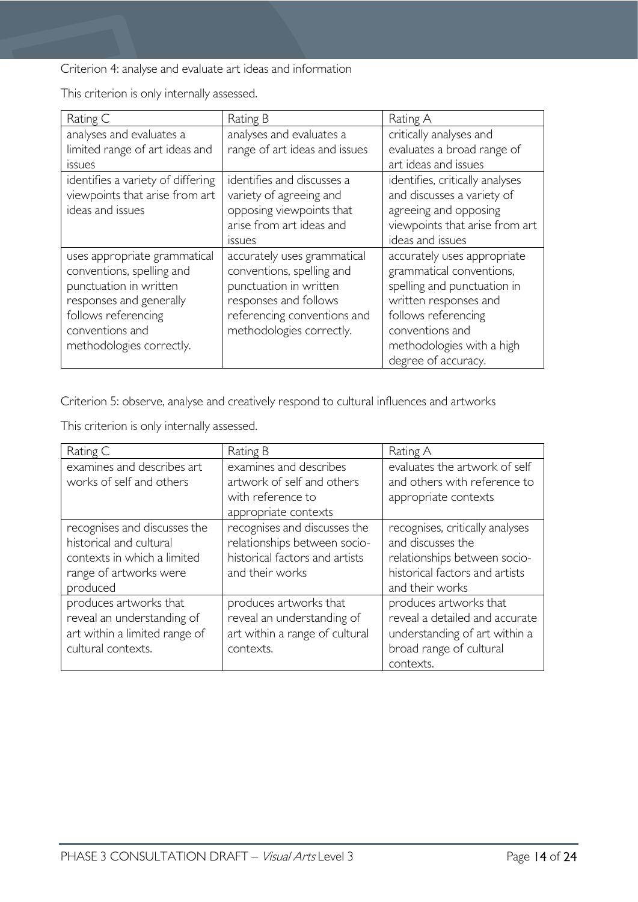Criterion 4: analyse and evaluate art ideas and information

This criterion is only internally assessed.

| Rating C                          | Rating B                      | Rating A                        |  |
|-----------------------------------|-------------------------------|---------------------------------|--|
| analyses and evaluates a          | analyses and evaluates a      | critically analyses and         |  |
| limited range of art ideas and    | range of art ideas and issues | evaluates a broad range of      |  |
| issues                            |                               | art ideas and issues            |  |
| identifies a variety of differing | identifies and discusses a    | identifies, critically analyses |  |
| viewpoints that arise from art    | variety of agreeing and       | and discusses a variety of      |  |
| ideas and issues                  | opposing viewpoints that      | agreeing and opposing           |  |
|                                   | arise from art ideas and      | viewpoints that arise from art  |  |
|                                   | <i>issues</i>                 | ideas and issues                |  |
| uses appropriate grammatical      | accurately uses grammatical   | accurately uses appropriate     |  |
| conventions, spelling and         | conventions, spelling and     | grammatical conventions,        |  |
| punctuation in written            | punctuation in written        | spelling and punctuation in     |  |
| responses and generally           | responses and follows         | written responses and           |  |
| follows referencing               | referencing conventions and   | follows referencing             |  |
| conventions and                   | methodologies correctly.      | conventions and                 |  |
| methodologies correctly.          |                               | methodologies with a high       |  |
|                                   |                               | degree of accuracy.             |  |

Criterion 5: observe, analyse and creatively respond to cultural influences and artworks

This criterion is only internally assessed.

| Rating C                                               | Rating B                                             | Rating A                                                      |
|--------------------------------------------------------|------------------------------------------------------|---------------------------------------------------------------|
| examines and describes art<br>works of self and others | examines and describes<br>artwork of self and others | evaluates the artwork of self<br>and others with reference to |
|                                                        | with reference to                                    | appropriate contexts                                          |
|                                                        | appropriate contexts                                 |                                                               |
| recognises and discusses the                           | recognises and discusses the                         | recognises, critically analyses                               |
| historical and cultural                                | relationships between socio-                         | and discusses the                                             |
| contexts in which a limited                            | historical factors and artists                       | relationships between socio-                                  |
| range of artworks were                                 | and their works                                      | historical factors and artists                                |
| produced                                               |                                                      | and their works                                               |
| produces artworks that                                 | produces artworks that                               | produces artworks that                                        |
| reveal an understanding of                             | reveal an understanding of                           | reveal a detailed and accurate                                |
| art within a limited range of                          | art within a range of cultural                       | understanding of art within a                                 |
| cultural contexts.                                     | contexts.                                            | broad range of cultural                                       |
|                                                        |                                                      | contexts.                                                     |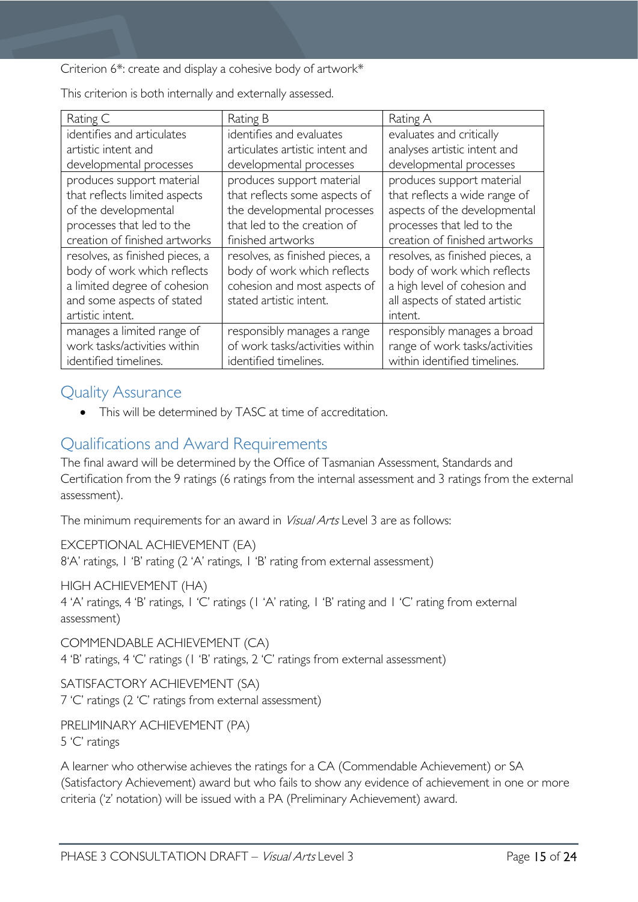Criterion 6\*: create and display a cohesive body of artwork\*

This criterion is both internally and externally assessed.

| Rating C                        | Rating B                        | Rating A                        |
|---------------------------------|---------------------------------|---------------------------------|
| identifies and articulates      | identifies and evaluates        | evaluates and critically        |
| artistic intent and             | articulates artistic intent and | analyses artistic intent and    |
| developmental processes         | developmental processes         | developmental processes         |
| produces support material       | produces support material       | produces support material       |
| that reflects limited aspects   | that reflects some aspects of   | that reflects a wide range of   |
| of the developmental            | the developmental processes     | aspects of the developmental    |
| processes that led to the       | that led to the creation of     | processes that led to the       |
| creation of finished artworks   | finished artworks               | creation of finished artworks   |
| resolves, as finished pieces, a | resolves, as finished pieces, a | resolves, as finished pieces, a |
| body of work which reflects     | body of work which reflects     | body of work which reflects     |
| a limited degree of cohesion    | cohesion and most aspects of    | a high level of cohesion and    |
| and some aspects of stated      | stated artistic intent.         | all aspects of stated artistic  |
| artistic intent.                |                                 | intent.                         |
| manages a limited range of      | responsibly manages a range     | responsibly manages a broad     |
| work tasks/activities within    | of work tasks/activities within | range of work tasks/activities  |
| identified timelines.           | identified timelines.           | within identified timelines.    |

# <span id="page-14-0"></span>Quality Assurance

• This will be determined by TASC at time of accreditation.

# <span id="page-14-1"></span>Qualifications and Award Requirements

The final award will be determined by the Office of Tasmanian Assessment, Standards and Certification from the 9 ratings (6 ratings from the internal assessment and 3 ratings from the external assessment).

The minimum requirements for an award in *Visual Arts* Level 3 are as follows:

EXCEPTIONAL ACHIEVEMENT (EA) 8'A' ratings, 1 'B' rating (2 'A' ratings, 1 'B' rating from external assessment)

HIGH ACHIEVEMENT (HA)

4 'A' ratings, 4 'B' ratings, 1 'C' ratings (1 'A' rating, 1 'B' rating and 1 'C' rating from external assessment)

COMMENDABLE ACHIEVEMENT (CA) 4 'B' ratings, 4 'C' ratings (1 'B' ratings, 2 'C' ratings from external assessment)

SATISFACTORY ACHIEVEMENT (SA) 7 'C' ratings (2 'C' ratings from external assessment)

PRELIMINARY ACHIEVEMENT (PA) 5 'C' ratings

A learner who otherwise achieves the ratings for a CA (Commendable Achievement) or SA (Satisfactory Achievement) award but who fails to show any evidence of achievement in one or more criteria ('z' notation) will be issued with a PA (Preliminary Achievement) award.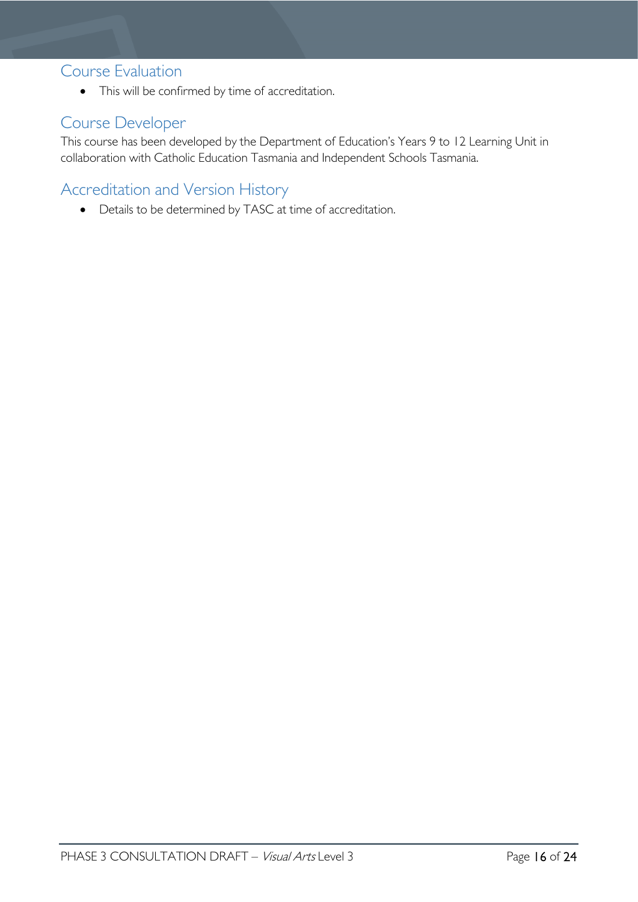# <span id="page-15-0"></span>Course Evaluation

• This will be confirmed by time of accreditation.

# <span id="page-15-1"></span>Course Developer

This course has been developed by the Department of Education's Years 9 to 12 Learning Unit in collaboration with Catholic Education Tasmania and Independent Schools Tasmania.

# <span id="page-15-2"></span>Accreditation and Version History

• Details to be determined by TASC at time of accreditation.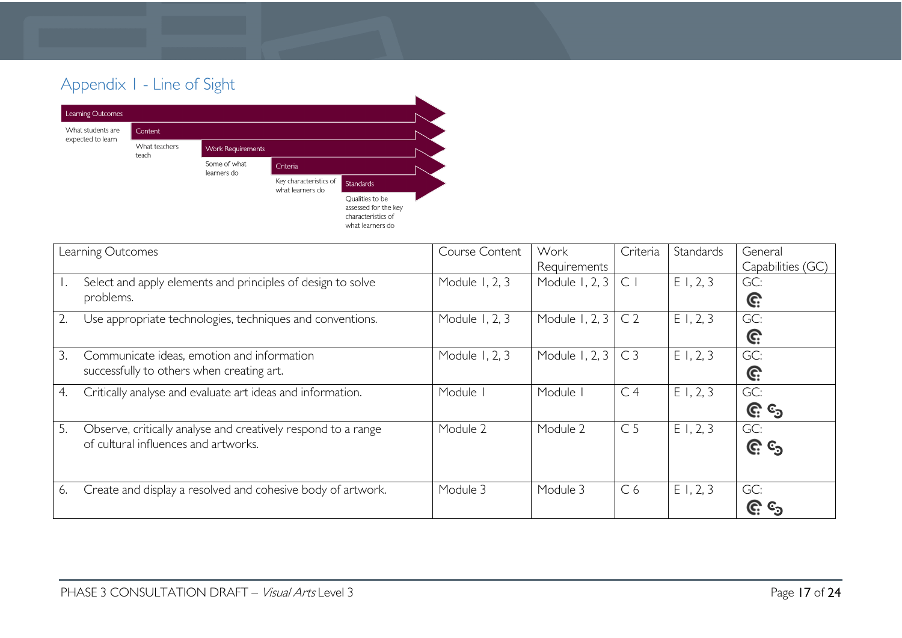# Appendix 1 - Line of Sight



<span id="page-16-0"></span>

|    | Learning Outcomes                                                                                     | Course Content | Work<br>Requirements | Criteria       | <b>Standards</b> | General<br>Capabilities (GC) |
|----|-------------------------------------------------------------------------------------------------------|----------------|----------------------|----------------|------------------|------------------------------|
|    | Select and apply elements and principles of design to solve<br>problems.                              | Module 1, 2, 3 | Module 1, 2, 3       | $\mathsf{C}$   | E1, 2, 3         | GC:<br>G:                    |
| 2. | Use appropriate technologies, techniques and conventions.                                             | Module 1, 2, 3 | Module 1, 2, 3       | C <sub>2</sub> | E1, 2, 3         | GC:<br>G:                    |
| 3. | Communicate ideas, emotion and information<br>successfully to others when creating art.               | Module 1, 2, 3 | Module 1, 2, 3       | C <sub>3</sub> | E1, 2, 3         | GC:<br>G:                    |
| 4. | Critically analyse and evaluate art ideas and information.                                            | Module I       | Module               | C <sub>4</sub> | E1, 2, 3         | GC:<br><u>ල</u> ද            |
| 5. | Observe, critically analyse and creatively respond to a range<br>of cultural influences and artworks. | Module 2       | Module 2             | C <sub>5</sub> | E1, 2, 3         | GC:<br><u>၉</u> ေ            |
| 6. | Create and display a resolved and cohesive body of artwork.                                           | Module 3       | Module 3             | C <sub>6</sub> | E1, 2, 3         | GC:<br>C.                    |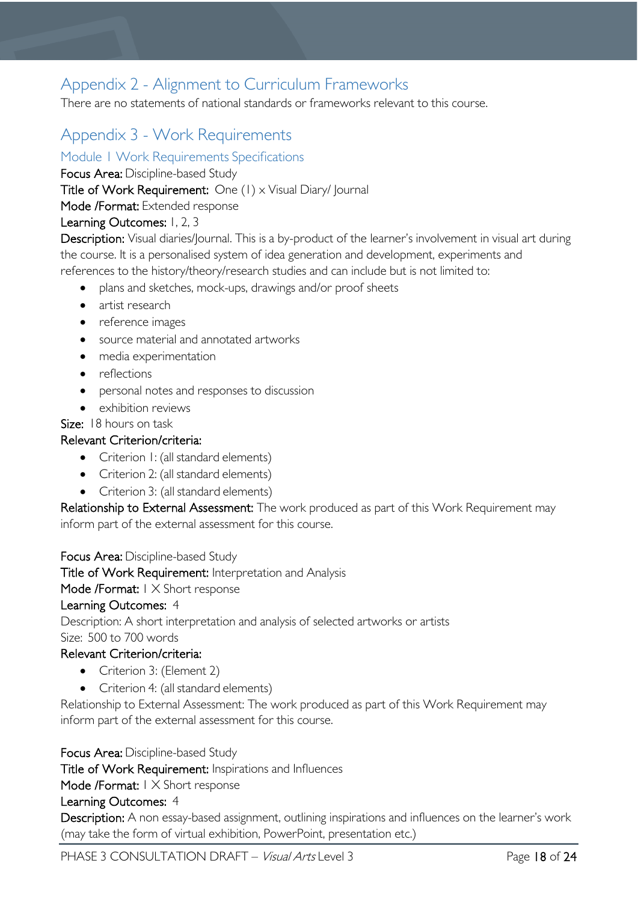# <span id="page-17-0"></span>Appendix 2 - Alignment to Curriculum Frameworks

There are no statements of national standards or frameworks relevant to this course.  

# <span id="page-17-1"></span>Appendix 3 - Work Requirements

<span id="page-17-2"></span>Module 1 Work Requirements Specifications

Focus Area: Discipline-based Study

Title of Work Requirement: One (1) x Visual Diary/ Journal

Mode /Format: Extended response

### Learning Outcomes: 1, 2, 3

Description: Visual diaries/Journal. This is a by-product of the learner's involvement in visual art during the course. It is a personalised system of idea generation and development, experiments and references to the history/theory/research studies and can include but is not limited to:

- plans and sketches, mock-ups, drawings and/or proof sheets
- artist research
- reference images
- source material and annotated artworks
- media experimentation
- reflections
- personal notes and responses to discussion
- exhibition reviews

Size: 18 hours on task

### Relevant Criterion/criteria:

- Criterion I: (all standard elements)
- Criterion 2: (all standard elements)
- Criterion 3: (all standard elements)

Relationship to External Assessment: The work produced as part of this Work Requirement may inform part of the external assessment for this course.

Focus Area: Discipline-based Study

Title of Work Requirement: Interpretation and Analysis

Mode /Format: I X Short response

#### Learning Outcomes: 4

Description: A short interpretation and analysis of selected artworks or artists

#### Size:  500 to 700 words

### Relevant Criterion/criteria:

- Criterion 3: (Element 2)
- Criterion 4: (all standard elements)

Relationship to External Assessment: The work produced as part of this Work Requirement may inform part of the external assessment for this course.

#### Focus Area: Discipline-based Study

Title of Work Requirement: Inspirations and Influences

Mode /Format: 1 X Short response

#### Learning Outcomes: 4

Description: A non essay-based assignment, outlining inspirations and influences on the learner's work (may take the form of virtual exhibition, PowerPoint, presentation etc.)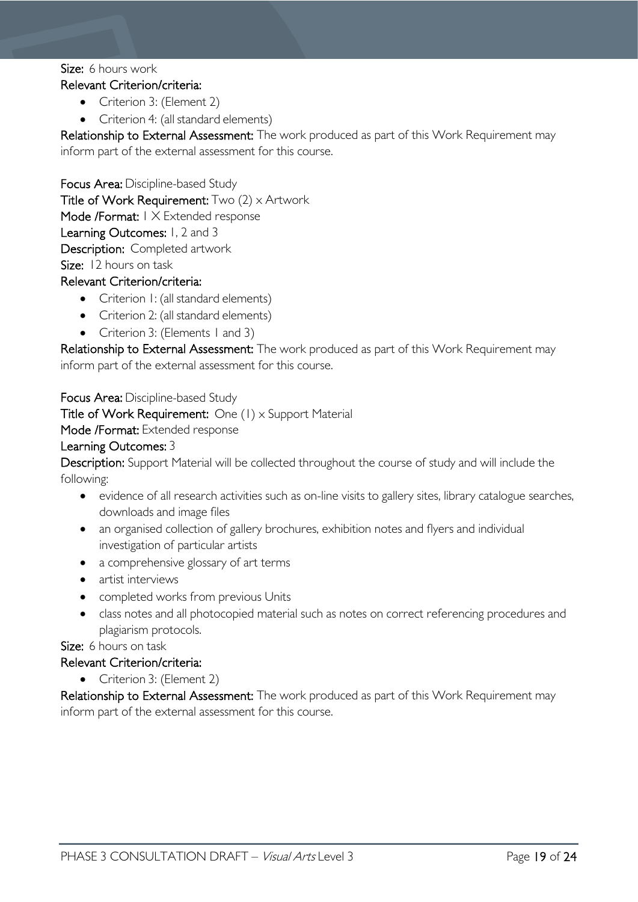#### Size: 6 hours work Relevant Criterion/criteria:

- Criterion 3: (Element 2)
- Criterion 4: (all standard elements)

Relationship to External Assessment: The work produced as part of this Work Requirement may inform part of the external assessment for this course.

Focus Area: Discipline-based Study Title of Work Requirement:  $Two (2) \times$  Artwork Mode /Format: 1 X Extended response Learning Outcomes: 1, 2 and 3 Description: Completed artwork Size: 12 hours on task

### Relevant Criterion/criteria:

- Criterion I: (all standard elements)
- Criterion 2: (all standard elements)
- Criterion 3: (Elements 1 and 3)

Relationship to External Assessment: The work produced as part of this Work Requirement may inform part of the external assessment for this course.

Focus Area: Discipline-based Study Title of Work Requirement: One (1) x Support Material Mode /Format: Extended response Learning Outcomes: 3

Description: Support Material will be collected throughout the course of study and will include the following:

- evidence of all research activities such as on-line visits to gallery sites, library catalogue searches, downloads and image files
- an organised collection of gallery brochures, exhibition notes and flyers and individual investigation of particular artists
- a comprehensive glossary of art terms
- artist interviews
- completed works from previous Units
- class notes and all photocopied material such as notes on correct referencing procedures and plagiarism protocols.

Size:  6 hours on task

#### Relevant Criterion/criteria:

• Criterion 3: (Element 2)

Relationship to External Assessment: The work produced as part of this Work Requirement may inform part of the external assessment for this course.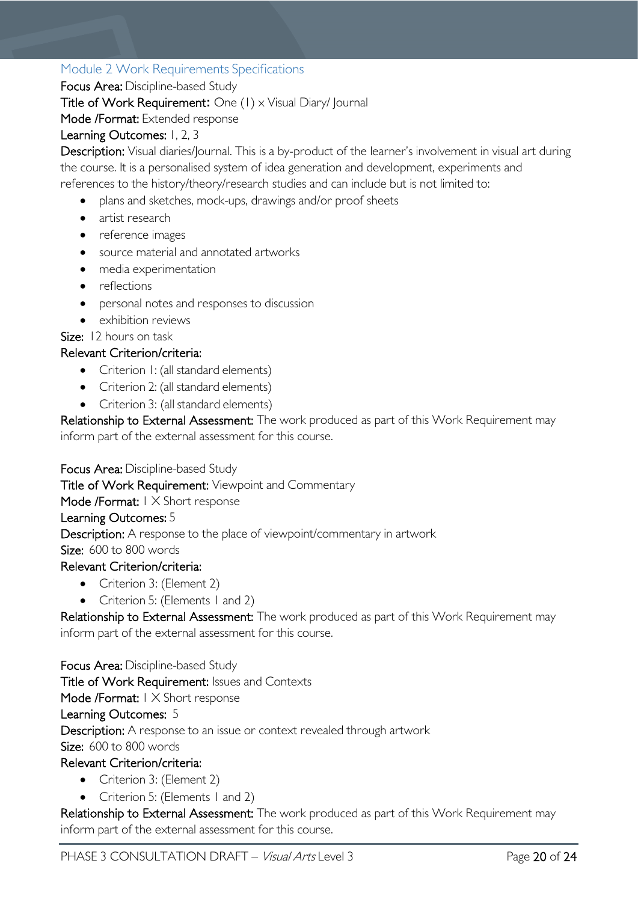## <span id="page-19-0"></span>Module 2 Work Requirements Specifications

Focus Area: Discipline-based Study

Title of Work Requirement**:** One (1) x Visual Diary/ Journal

Mode /Format: Extended response

### Learning Outcomes: 1, 2, 3

Description: Visual diaries/Journal. This is a by-product of the learner's involvement in visual art during the course. It is a personalised system of idea generation and development, experiments and references to the history/theory/research studies and can include but is not limited to:

- plans and sketches, mock-ups, drawings and/or proof sheets
- artist research
- reference images
- source material and annotated artworks
- media experimentation
- reflections
- personal notes and responses to discussion
- exhibition reviews

# Size: 12 hours on task

### Relevant Criterion/criteria:

- Criterion I: (all standard elements)
- Criterion 2: (all standard elements)
- Criterion 3: (all standard elements)

Relationship to External Assessment: The work produced as part of this Work Requirement may inform part of the external assessment for this course.

Focus Area: Discipline-based Study

Title of Work Requirement: Viewpoint and Commentary

Mode /Format: I X Short response

#### Learning Outcomes: 5

Description: A response to the place of viewpoint/commentary in artwork

Size:600 to 800 words

### Relevant Criterion/criteria:

- Criterion 3: (Element 2)
- Criterion 5: (Elements 1 and 2)

Relationship to External Assessment: The work produced as part of this Work Requirement may inform part of the external assessment for this course.

Focus Area: Discipline-based Study Title of Work Requirement: Issues and Contexts Mode /Format: I X Short response Learning Outcomes: 5 Description: A response to an issue or context revealed through artwork Size:  600 to 800 words

### Relevant Criterion/criteria:

- Criterion 3: (Element 2)
- Criterion 5: (Elements 1 and 2)

Relationship to External Assessment: The work produced as part of this Work Requirement may inform part of the external assessment for this course.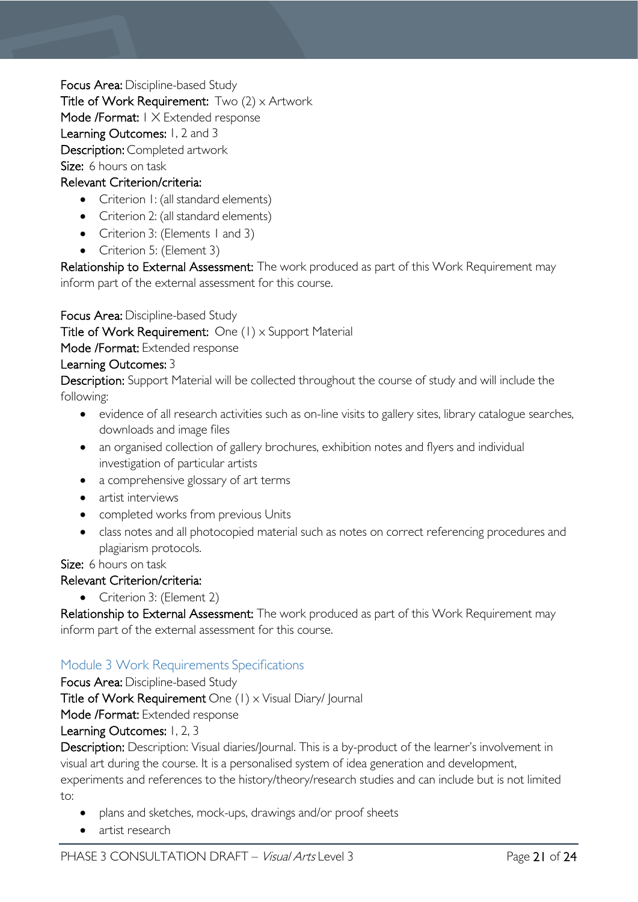Focus Area: Discipline-based Study

Title of Work Requirement:  $Two (2) \times$  Artwork

Mode /Format: 1 X Extended response

Learning Outcomes: 1, 2 and 3

Description: Completed artwork

Size:  6 hours on task  

### Relevant Criterion/criteria:

- Criterion I: (all standard elements)
- Criterion 2: (all standard elements)
- Criterion 3: (Elements 1 and 3)
- Criterion 5: (Element 3)

Relationship to External Assessment: The work produced as part of this Work Requirement may inform part of the external assessment for this course.

Focus Area: Discipline-based Study

Title of Work Requirement: One (1) x Support Material

Mode /Format: Extended response

### Learning Outcomes: 3

Description: Support Material will be collected throughout the course of study and will include the following:

- evidence of all research activities such as on-line visits to gallery sites, library catalogue searches, downloads and image files
- an organised collection of gallery brochures, exhibition notes and flyers and individual investigation of particular artists
- a comprehensive glossary of art terms
- artist interviews
- completed works from previous Units
- class notes and all photocopied material such as notes on correct referencing procedures and plagiarism protocols.

Size: 6 hours on task

- Relevant Criterion/criteria:
	- Criterion 3: (Element 2)

Relationship to External Assessment: The work produced as part of this Work Requirement may inform part of the external assessment for this course.

# <span id="page-20-0"></span>Module 3 Work Requirements Specifications

Focus Area: Discipline-based Study

Title of Work Requirement One (1) x Visual Diary/ Journal

Mode /Format: Extended response

# Learning Outcomes: 1, 2, 3

Description: Description: Visual diaries/Journal. This is a by-product of the learner's involvement in visual art during the course. It is a personalised system of idea generation and development,

experiments and references to the history/theory/research studies and can include but is not limited to:

- plans and sketches, mock-ups, drawings and/or proof sheets
- artist research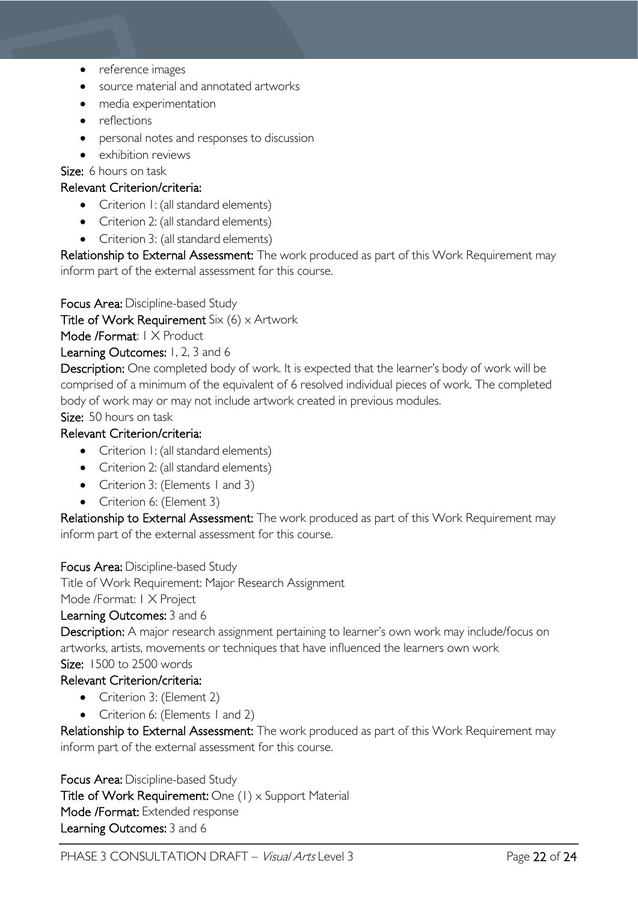- reference images
- source material and annotated artworks
- media experimentation
- reflections
- personal notes and responses to discussion
- exhibition reviews

Size:  6 hours on task

### Relevant Criterion/criteria:

- Criterion 1: (all standard elements)
- Criterion 2: (all standard elements)
- Criterion 3: (all standard elements)

Relationship to External Assessment: The work produced as part of this Work Requirement may inform part of the external assessment for this course.

Focus Area: Discipline-based Study

Title of Work Requirement Six  $(6)$  x Artwork

Mode /Format: | X Product

Learning Outcomes: 1, 2, 3 and 6

Description: One completed body of work. It is expected that the learner's body of work will be comprised of a minimum of the equivalent of 6 resolved individual pieces of work. The completed body of work may or may not include artwork created in previous modules.

Size: 50 hours on task  

# Relevant Criterion/criteria:

- Criterion 1: (all standard elements)
- Criterion 2: (all standard elements)
- Criterion 3: (Elements 1 and 3)
- Criterion 6: (Element 3)

Relationship to External Assessment: The work produced as part of this Work Requirement may inform part of the external assessment for this course.

Focus Area: Discipline-based Study

Title of Work Requirement: Major Research Assignment

Mode /Format: 1 X Project

### Learning Outcomes: 3 and 6

Description: A major research assignment pertaining to learner's own work may include/focus on artworks, artists, movements or techniques that have influenced the learners own work Size: 1500 to 2500 words

### Relevant Criterion/criteria:

- Criterion 3: (Element 2)
- Criterion 6: (Elements 1 and 2)

Relationship to External Assessment: The work produced as part of this Work Requirement may inform part of the external assessment for this course.

Focus Area: Discipline-based Study

Title of Work Requirement: One (1) x Support Material Mode /Format: Extended response Learning Outcomes: 3 and 6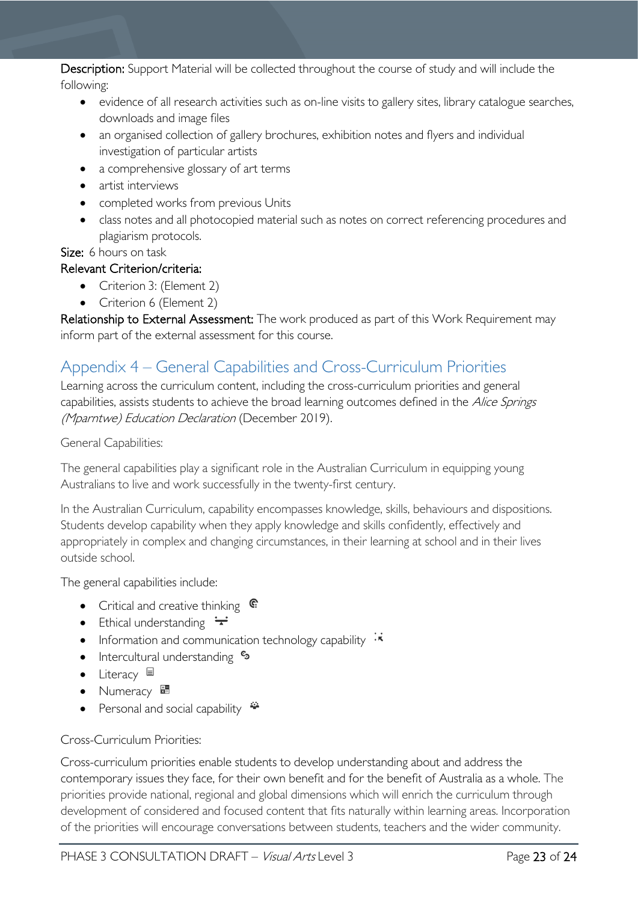### Description: Support Material will be collected throughout the course of study and will include the following:

- evidence of all research activities such as on-line visits to gallery sites, library catalogue searches, downloads and image files
- an organised collection of gallery brochures, exhibition notes and flyers and individual investigation of particular artists
- a comprehensive glossary of art terms
- artist interviews
- completed works from previous Units
- class notes and all photocopied material such as notes on correct referencing procedures and plagiarism protocols.

Size:  6 hours on task

# Relevant Criterion/criteria:

- Criterion 3: (Element 2)
- Criterion 6 (Element 2)

Relationship to External Assessment: The work produced as part of this Work Requirement may inform part of the external assessment for this course.

# <span id="page-22-0"></span>Appendix 4 – General Capabilities and Cross-Curriculum Priorities

Learning across the curriculum content, including the cross-curriculum priorities and general capabilities, assists students to achieve the broad learning outcomes defined in the Alice Springs (Mparntwe) Education Declaration (December 2019).

### General Capabilities:

The general capabilities play a significant role in the Australian Curriculum in equipping young Australians to live and work successfully in the twenty-first century.

In the Australian Curriculum, capability encompasses knowledge, skills, behaviours and dispositions. Students develop capability when they apply knowledge and skills confidently, effectively and appropriately in complex and changing circumstances, in their learning at school and in their lives outside school.

The general capabilities include:

- Critical and creative thinking  $\mathbb{C}$
- Ethical understanding  $\div$
- Information and communication technology capability  $\cdot \star$
- Intercultural understanding •
- Literacy  $\blacksquare$
- Numeracy
- Personal and social capability  $\ddot{\ddot{}}$

### Cross-Curriculum Priorities:

Cross-curriculum priorities enable students to develop understanding about and address the contemporary issues they face, for their own benefit and for the benefit of Australia as a whole. The priorities provide national, regional and global dimensions which will enrich the curriculum through development of considered and focused content that fits naturally within learning areas. Incorporation of the priorities will encourage conversations between students, teachers and the wider community.